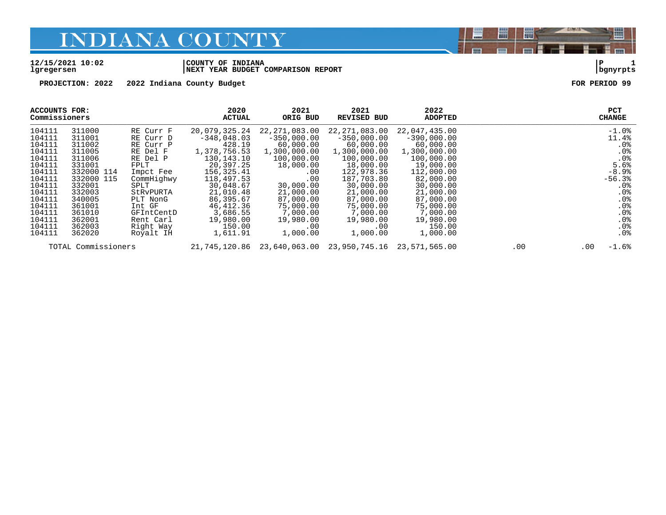#### **12/15/2021 10:02 |COUNTY OF INDIANA |P 1 lgregersen |NEXT YEAR BUDGET COMPARISON REPORT |bgnyrpts**

**PROJECTION: 2022 2022 Indiana County Budget FOR PERIOD 99**

| ACCOUNTS FOR:<br>Commissioners |                     |            | 2020<br><b>ACTUAL</b> | 2021<br>ORIG BUD | 2021<br><b>REVISED BUD</b>  | 2022<br><b>ADOPTED</b> |     | <b>PCT</b><br><b>CHANGE</b> |
|--------------------------------|---------------------|------------|-----------------------|------------------|-----------------------------|------------------------|-----|-----------------------------|
| 104111                         | 311000              | RE Curr F  | 20,079,325.24         | 22,271,083.00    | 22,271,083.00               | 22,047,435.00          |     | $-1.0$ %                    |
| 104111                         | 311001              | RE Curr D  | $-348,048.03$         | $-350,000.00$    | $-350.000.00$               | $-390,000.00$          |     | 11.4%                       |
| 104111                         | 311002              | RE Curr P  | 428.19                | 60,000.00        | 60,000.00                   | 60,000.00              |     | .0 <sub>8</sub>             |
| 104111                         | 311005              | RE Del F   | 1,378,756.53          | 1,300,000.00     | 1,300,000.00                | 1,300,000.00           |     | .0%                         |
| 104111                         | 311006              | RE Del P   | 130,143.10            | 100,000.00       | 100,000.00                  | 100,000.00             |     | .0 <sup>8</sup>             |
| 104111                         | 331001              | FPLT       | 20,397.25             | 18,000.00        | 18,000.00                   | 19,000.00              |     | 5.6%                        |
| 104111                         | 332000 114          | Impct Fee  | 156,325.41            | .00              | 122,978.36                  | 112,000.00             |     | $-8.9%$                     |
| 104111                         | 332000 115          | CommHighwy | 118,497.53            | .00              | 187,703.80                  | 82,000.00              |     | $-56.3%$                    |
| 104111                         | 332001              | SPLT       | 30,048.67             | 30,000.00        | 30,000.00                   | 30,000.00              |     | .0 <sub>8</sub>             |
| 104111                         | 332003              | StRvPURTA  | 21,010.48             | 21,000.00        | 21,000.00                   | 21,000.00              |     | .0 <sub>8</sub>             |
| 104111                         | 340005              | PLT NonG   | 86,395.67             | 87,000.00        | 87,000.00                   | 87,000.00              |     | .0 <sub>8</sub>             |
| 104111                         | 361001              | Int GF     | 46,412.36             | 75,000.00        | 75,000.00                   | 75,000.00              |     | $.0\%$                      |
| 104111                         | 361010              | GFIntCentD | 3,686.55              | 7,000.00         | 7,000.00                    | 7,000.00               |     | .0%                         |
| 104111                         | 362001              | Rent Carl  | 19,980.00             | 19,980.00        | 19,980.00                   | 19,980.00              |     | .0%                         |
| 104111                         | 362003              | Right Way  | 150.00                | .00              | .00                         | 150.00                 |     | .0%                         |
| 104111                         | 362020              | Royalt IH  | 1,611.91              | 1,000.00         | 1,000.00                    | 1,000.00               |     | .0%                         |
|                                | TOTAL Commissioners |            | 21,745,120.86         | 23,640,063.00    | 23,950,745.16 23,571,565.00 |                        | .00 | $-1.6%$<br>.00              |

闇

圌

E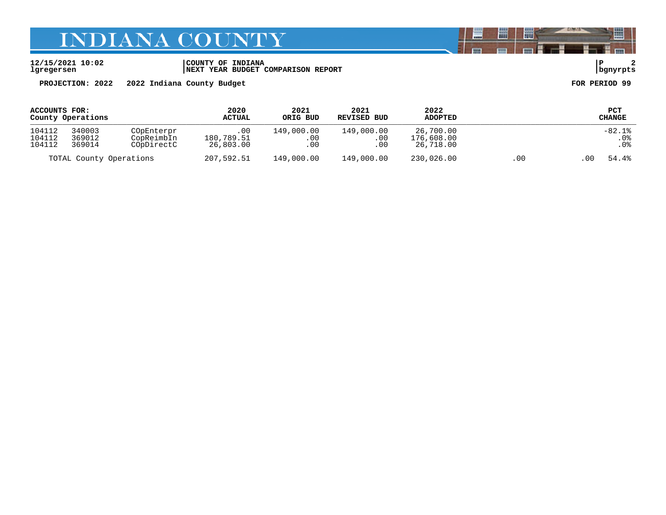**12/15/2021 10:02 |COUNTY OF INDIANA |P 2 lgregersen |NEXT YEAR BUDGET COMPARISON REPORT |bgnyrpts**

**PROJECTION: 2022 2022 Indiana County Budget FOR PERIOD 99**

| ACCOUNTS FOR:           |        |            | 2020          | 2021       | 2021        | 2022           |               | PCT           |
|-------------------------|--------|------------|---------------|------------|-------------|----------------|---------------|---------------|
| County Operations       |        |            | <b>ACTUAL</b> | ORIG BUD   | REVISED BUD | <b>ADOPTED</b> |               | <b>CHANGE</b> |
| 104112                  | 340003 | COpEnterpr | $.00 \,$      | 149,000.00 | 149,000.00  | 26,700.00      |               | $-82.1%$      |
| 104112                  | 369012 | CopReimbIn | 180,789.51    | .00        | $.00\,$     | 176,608.00     |               | .0%           |
| 104112                  | 369014 | COpDirectC | 26,803.00     | .00        | .00         | 26,718.00      |               | . 0%          |
| TOTAL County Operations |        | 207,592.51 | 149,000.00    | 149,000.00 | 230,026.00  | .00            | 54.4%<br>. 00 |               |

闇

圌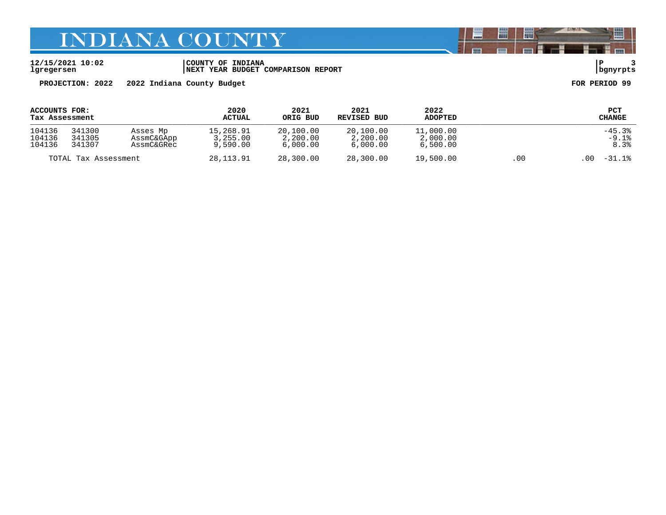**12/15/2021 10:02 |COUNTY OF INDIANA |P 3 lgregersen |NEXT YEAR BUDGET COMPARISON REPORT |bgnyrpts**

**PROJECTION: 2022 2022 Indiana County Budget FOR PERIOD 99**

| ACCOUNTS FOR:        |        |            | 2020          | 2021      | 2021        | 2022           |                  | PCT      |
|----------------------|--------|------------|---------------|-----------|-------------|----------------|------------------|----------|
| Tax Assessment       |        |            | <b>ACTUAL</b> | ORIG BUD  | REVISED BUD | <b>ADOPTED</b> |                  | CHANGE   |
| 104136               | 341300 | Asses Mp   | 15,268.91     | 20,100.00 | 20,100.00   | 11,000.00      |                  | $-45.3%$ |
| 104136               | 341305 | AssmC&GApp | 3,255.00      | 2,200.00  | 2,200.00    | 2,000.00       |                  | $-9.1%$  |
| 104136               | 341307 | AssmC&GRec | 9,590.00      | 6.000.00  | 6,000.00    | 6,500.00       |                  | 8.3%     |
| TOTAL Tax Assessment |        | 28,113.91  | 28,300.00     | 28,300.00 | 19,500.00   | .00            | $-31.1%$<br>. 00 |          |

闇

圌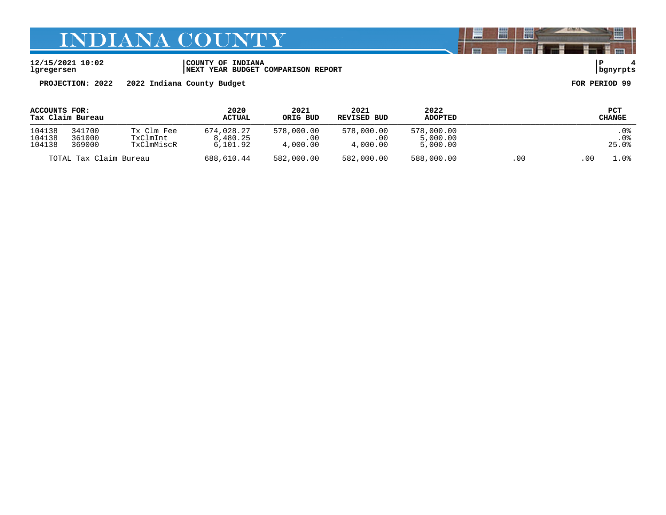**12/15/2021 10:02 |COUNTY OF INDIANA |P 4 lgregersen |NEXT YEAR BUDGET COMPARISON REPORT |bgnyrpts**

**PROJECTION: 2022 2022 Indiana County Budget FOR PERIOD 99**

| ACCOUNTS FOR:<br>Tax Claim Bureau |                            |                                      | 2020<br><b>ACTUAL</b>              | 2021<br>ORIG BUD              | 2021<br>REVISED BUD           | 2022<br><b>ADOPTED</b>             |      |      | PCT<br><b>CHANGE</b>  |
|-----------------------------------|----------------------------|--------------------------------------|------------------------------------|-------------------------------|-------------------------------|------------------------------------|------|------|-----------------------|
| 104138<br>104138<br>104138        | 341700<br>361000<br>369000 | Tx Clm Fee<br>TxClmInt<br>TxClmMiscR | 674,028.27<br>8,480.25<br>6,101.92 | 578,000.00<br>.00<br>4,000.00 | 578,000.00<br>.00<br>4,000.00 | 578,000.00<br>5,000.00<br>5,000.00 |      |      | . 0%<br>. 0%<br>25.0% |
| TOTAL Tax Claim Bureau            |                            | 688,610.44                           | 582,000.00                         | 582,000.00                    | 588,000.00                    | .00                                | . 00 | 1.0% |                       |

闇

圌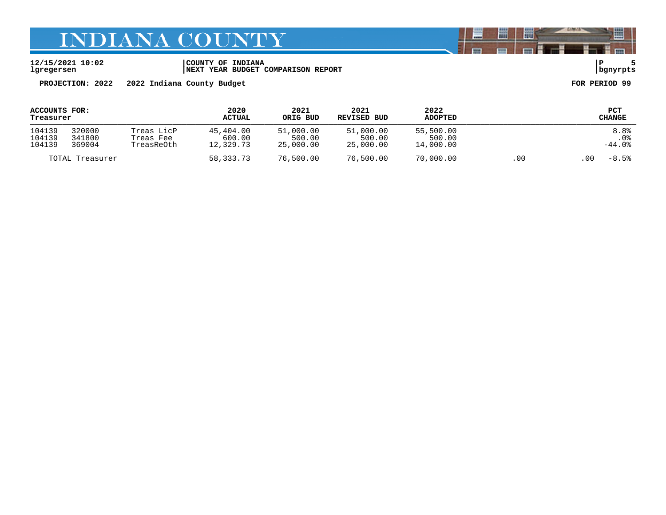**12/15/2021 10:02 |COUNTY OF INDIANA |P 5 lgregersen |NEXT YEAR BUDGET COMPARISON REPORT |bgnyrpts**

**PROJECTION: 2022 2022 Indiana County Budget FOR PERIOD 99**

| ACCOUNTS FOR:<br>Treasurer |                            |                                       | 2020<br><b>ACTUAL</b>            | 2021<br>ORIG BUD                 | 2021<br>REVISED BUD              | 2022<br><b>ADOPTED</b>           |     |     | PCT<br><b>CHANGE</b>     |
|----------------------------|----------------------------|---------------------------------------|----------------------------------|----------------------------------|----------------------------------|----------------------------------|-----|-----|--------------------------|
| 104139<br>104139<br>104139 | 320000<br>341800<br>369004 | Treas LicP<br>Treas Fee<br>TreasReOth | 45,404.00<br>600.00<br>12,329.73 | 51,000.00<br>500.00<br>25,000.00 | 51,000.00<br>500.00<br>25,000.00 | 55,500.00<br>500.00<br>14,000.00 |     |     | 8.8%<br>. 0%<br>$-44.0%$ |
|                            | TOTAL Treasurer            |                                       | 58,333.73                        | 76,500.00                        | 76,500.00                        | 70,000.00                        | .00 | .00 | $-8.5%$                  |

闇

圌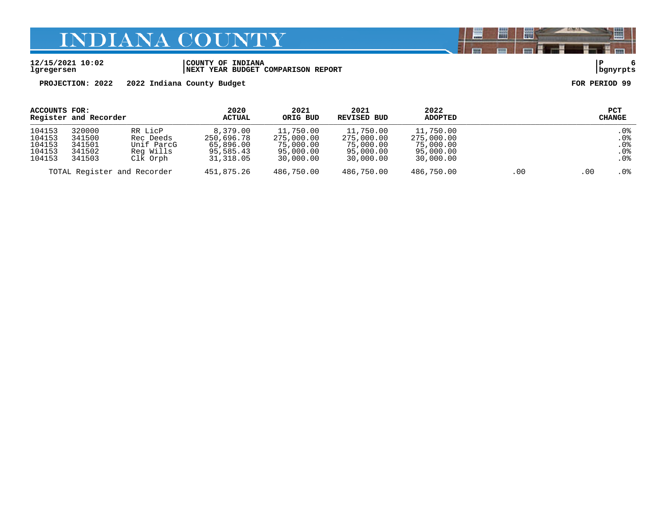**12/15/2021 10:02 |COUNTY OF INDIANA |P 6 lgregersen |NEXT YEAR BUDGET COMPARISON REPORT |bgnyrpts**

**PROJECTION: 2022 2022 Indiana County Budget FOR PERIOD 99**

| ACCOUNTS FOR:                                  | Register and Recorder                          |                                                             | 2020<br><b>ACTUAL</b>                                         | 2021<br>ORIG BUD                                               | 2021<br>REVISED BUD                                            | 2022<br><b>ADOPTED</b>                                         |     | <b>PCT</b><br>CHANGE                                          |
|------------------------------------------------|------------------------------------------------|-------------------------------------------------------------|---------------------------------------------------------------|----------------------------------------------------------------|----------------------------------------------------------------|----------------------------------------------------------------|-----|---------------------------------------------------------------|
| 104153<br>104153<br>104153<br>104153<br>104153 | 320000<br>341500<br>341501<br>341502<br>341503 | RR LicP<br>Rec Deeds<br>Unif ParcG<br>Reg Wills<br>Clk Orph | 8,379.00<br>250,696.78<br>65,896.00<br>95,585.43<br>31,318.05 | 11,750.00<br>275,000.00<br>75,000.00<br>95,000.00<br>30,000.00 | 11,750.00<br>275,000.00<br>75,000.00<br>95,000.00<br>30,000.00 | 11,750.00<br>275,000.00<br>75,000.00<br>95,000.00<br>30,000.00 |     | $.0\%$<br>.0%<br>.0 <sub>8</sub><br>.0 <sub>8</sub><br>$.0\%$ |
|                                                | TOTAL Register and Recorder                    |                                                             | 451,875.26                                                    | 486,750.00                                                     | 486,750.00                                                     | 486,750.00                                                     | .00 | .0%<br>.00                                                    |

闇

圌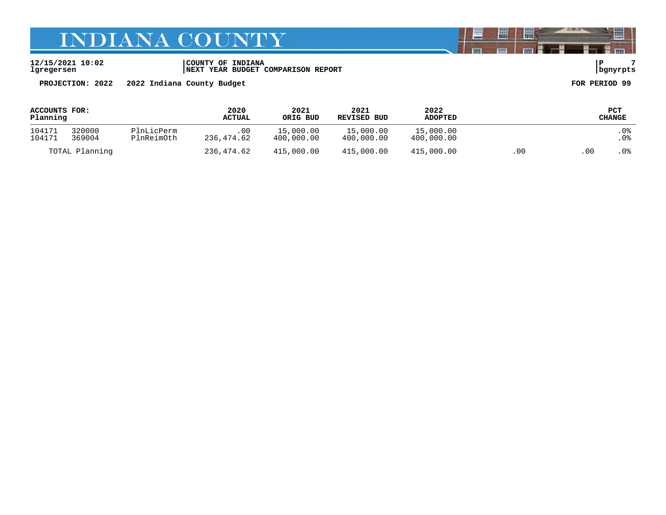**12/15/2021 10:02 |COUNTY OF INDIANA |P 7 lgregersen |NEXT YEAR BUDGET COMPARISON REPORT |bgnyrpts**

**PROJECTION: 2022 2022 Indiana County Budget FOR PERIOD 99**

| ACCOUNTS FOR:<br>Planning |                  | 2020<br>2021<br><b>ACTUAL</b><br>ORIG BUD |                   | 2021<br>REVISED BUD     | 2022<br><b>ADOPTED</b>  |                         | PCT<br><b>CHANGE</b> |       |             |
|---------------------------|------------------|-------------------------------------------|-------------------|-------------------------|-------------------------|-------------------------|----------------------|-------|-------------|
| 104171<br>104171          | 320000<br>369004 | PlnLicPerm<br>PlnReimOth                  | .00<br>236,474.62 | 15,000.00<br>400,000.00 | 15,000.00<br>400,000.00 | 15,000.00<br>400,000.00 |                      |       | . 0%<br>.0% |
|                           | TOTAL Planning   |                                           | 236,474.62        | 415,000.00              | 415,000.00              | 415,000.00              | .00                  | . 0 0 | . 0 %       |

闇

圌

E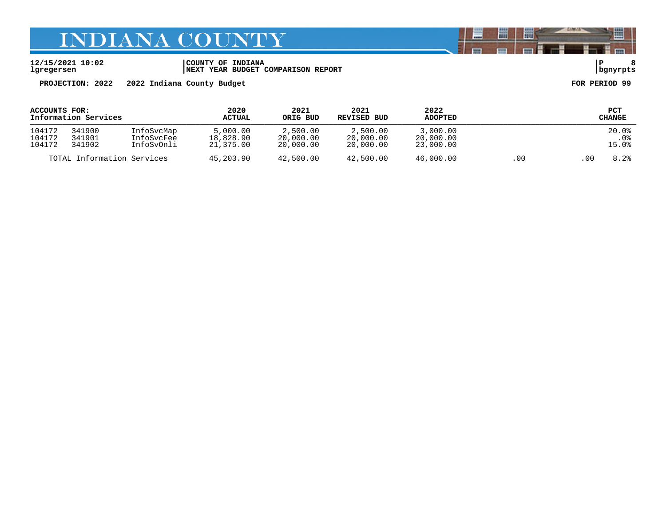**12/15/2021 10:02 |COUNTY OF INDIANA |P 8 lgregersen |NEXT YEAR BUDGET COMPARISON REPORT |bgnyrpts**

**PROJECTION: 2022 2022 Indiana County Budget FOR PERIOD 99**

| ACCOUNTS FOR:<br>Information Services |                            |                                        | 2020<br>ACTUAL                     | 2021<br>ORIG BUD                   | 2021<br>REVISED BUD                | 2022<br><b>ADOPTED</b>             |      |      | <b>PCT</b><br><b>CHANGE</b> |
|---------------------------------------|----------------------------|----------------------------------------|------------------------------------|------------------------------------|------------------------------------|------------------------------------|------|------|-----------------------------|
| 104172<br>104172<br>104172            | 341900<br>341901<br>341902 | InfoSvcMap<br>InfoSvcFee<br>InfoSvOnli | 5.000.00<br>18,828.90<br>21,375.00 | 2,500.00<br>20,000.00<br>20,000.00 | 2,500.00<br>20,000.00<br>20,000.00 | 3,000.00<br>20,000.00<br>23,000.00 |      |      | 20.0%<br>. 0%<br>15.0%      |
| TOTAL Information Services            |                            | 45,203.90                              | 42,500.00                          | 42,500.00                          | 46,000.00                          | .00                                | . 00 | 8.2% |                             |

闇

圌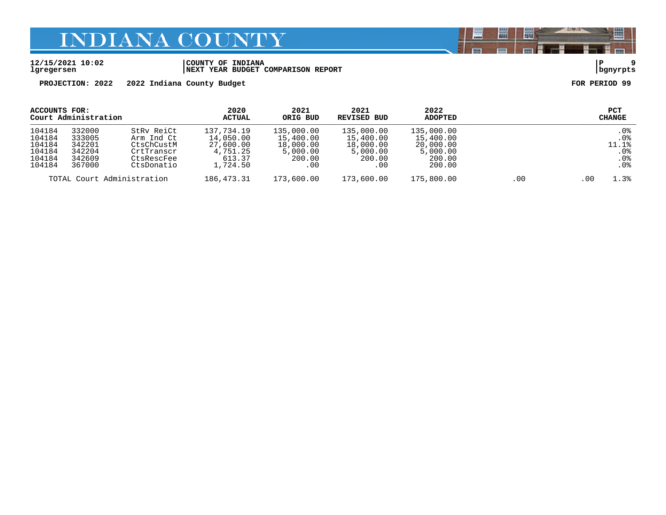#### **12/15/2021 10:02 |COUNTY OF INDIANA |P 9 lgregersen |NEXT YEAR BUDGET COMPARISON REPORT |bgnyrpts**

**PROJECTION: 2022 2022 Indiana County Budget FOR PERIOD 99**

| ACCOUNTS FOR:              |        |            | 2020       | 2021       | 2021        | 2022           |              | <b>PCT</b>      |
|----------------------------|--------|------------|------------|------------|-------------|----------------|--------------|-----------------|
| Court Administration       |        |            | ACTUAL     | ORIG BUD   | REVISED BUD | <b>ADOPTED</b> |              | CHANGE          |
| 104184                     | 332000 | StRy ReiCt | 137,734.19 | 135,000.00 | 135,000.00  | 135,000.00     |              | .0 <sub>8</sub> |
| 104184                     | 333005 | Arm Ind Ct | 14,050.00  | 15,400.00  | 15,400.00   | 15,400.00      |              | .0 <sub>8</sub> |
| 104184                     | 342201 | CtsChCustM | 27,600.00  | 18,000.00  | 18,000.00   | 20,000.00      |              | 11.1%           |
| 104184                     | 342204 | CrtTranscr | 4,751.25   | 5,000.00   | 5,000.00    | 5,000.00       |              | $.0\%$          |
| 104184                     | 342609 | CtsRescFee | 613.37     | 200.00     | 200.00      | 200.00         |              | $.0\%$          |
| 104184                     | 367000 | CtsDonatio | 1,724.50   | .00        | $.00 \,$    | 200.00         |              | .0 <sub>8</sub> |
| TOTAL Court Administration |        | 186,473.31 | 173,600.00 | 173,600.00 | 175,800.00  | .00            | 1.3%<br>. 00 |                 |

闇

圌

E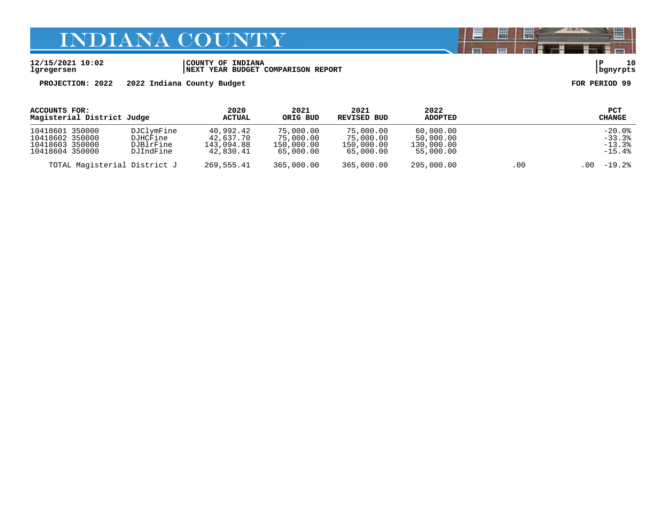**12/15/2021 10:02 |COUNTY OF INDIANA |P 10 lgregersen |NEXT YEAR BUDGET COMPARISON REPORT |bgnyrpts**

**PROJECTION: 2022 2022 Indiana County Budget FOR PERIOD 99**

| ACCOUNTS FOR:<br>Magisterial District Judge                              |                                                  | 2020<br>ACTUAL                                    | 2021<br>ORIG BUD                                  | 2021<br>REVISED BUD                               | 2022<br><b>ADOPTED</b>                            |     | PCT<br>CHANGE                                |
|--------------------------------------------------------------------------|--------------------------------------------------|---------------------------------------------------|---------------------------------------------------|---------------------------------------------------|---------------------------------------------------|-----|----------------------------------------------|
| 10418601 350000<br>10418602 350000<br>10418603 350000<br>10418604 350000 | DJClymFine<br>DJHCFine<br>DJBlrFine<br>DJIndFine | 40,992.42<br>42,637.70<br>143,094.88<br>42,830.41 | 75,000.00<br>75,000.00<br>150,000.00<br>65,000.00 | 75,000.00<br>75,000.00<br>150,000.00<br>65,000.00 | 60,000.00<br>50,000.00<br>130,000.00<br>55,000.00 |     | $-20.0%$<br>$-33.3%$<br>$-13.3%$<br>$-15.4%$ |
| TOTAL Magisterial District J                                             |                                                  | 269,555.41                                        | 365,000.00                                        | 365,000.00                                        | 295,000.00                                        | .00 | $-19.2%$<br>.00                              |

闇

圌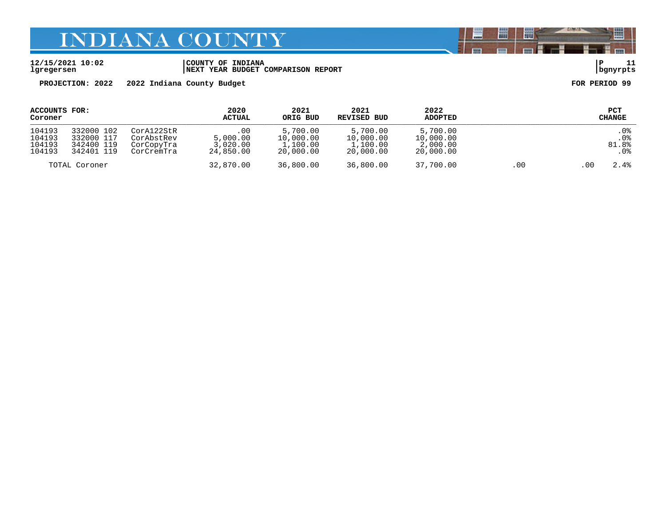#### **12/15/2021 10:02 |COUNTY OF INDIANA |P 11 lgregersen |NEXT YEAR BUDGET COMPARISON REPORT |bgnyrpts**

**PROJECTION: 2022 2022 Indiana County Budget FOR PERIOD 99**

| ACCOUNTS FOR:<br>Coroner             |                                                      |                                                      | 2020<br><b>ACTUAL</b>                         | 2021<br>ORIG BUD                               | 2021<br>REVISED BUD                            | 2022<br><b>ADOPTED</b>                         |     |      | PCT<br>CHANGE                 |
|--------------------------------------|------------------------------------------------------|------------------------------------------------------|-----------------------------------------------|------------------------------------------------|------------------------------------------------|------------------------------------------------|-----|------|-------------------------------|
| 104193<br>104193<br>104193<br>104193 | 332000 102<br>332000 117<br>342400 119<br>342401 119 | CorA122StR<br>CorAbstRev<br>CorCopyTra<br>CorCremTra | $.00 \,$<br>5.000.00<br>3.020.00<br>24,850.00 | 5,700.00<br>10,000.00<br>1,100.00<br>20,000.00 | 5,700.00<br>10,000.00<br>1,100.00<br>20,000.00 | 5,700.00<br>10,000.00<br>2,000.00<br>20,000.00 |     |      | .0%<br>$.0\%$<br>81.8%<br>.0% |
|                                      | TOTAL Coroner                                        |                                                      | 32,870.00                                     | 36,800.00                                      | 36,800.00                                      | 37,700.00                                      | .00 | . 00 | 2.4%                          |

闇

圌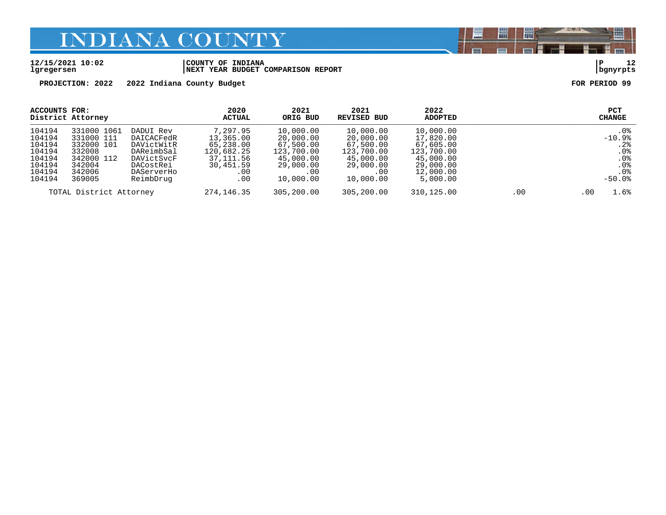#### **12/15/2021 10:02 |COUNTY OF INDIANA |P 12 lgregersen |NEXT YEAR BUDGET COMPARISON REPORT |bgnyrpts**

**PROJECTION: 2022 2022 Indiana County Budget FOR PERIOD 99**

| ACCOUNTS FOR:                                                                | District Attorney                                                                             |                                                                                                           | 2020<br>ACTUAL                                                                             | 2021<br>ORIG BUD                                                                                | 2021<br>REVISED BUD                                                                                 | 2022<br><b>ADOPTED</b>                                                                               |             | <b>PCT</b><br><b>CHANGE</b>                                                                               |
|------------------------------------------------------------------------------|-----------------------------------------------------------------------------------------------|-----------------------------------------------------------------------------------------------------------|--------------------------------------------------------------------------------------------|-------------------------------------------------------------------------------------------------|-----------------------------------------------------------------------------------------------------|------------------------------------------------------------------------------------------------------|-------------|-----------------------------------------------------------------------------------------------------------|
| 104194<br>104194<br>104194<br>104194<br>104194<br>104194<br>104194<br>104194 | 331000 1061<br>331000 111<br>332000 101<br>332008<br>342000 112<br>342004<br>342006<br>369005 | DADUI Rev<br>DAICACFedR<br>DAVictWitR<br>DAReimbSal<br>DAVictSvcF<br>DACostRei<br>DAServerHo<br>ReimbDrug | 7,297.95<br>13,365.00<br>65,238.00<br>120,682.25<br>37, 111, 56<br>30,451.59<br>.00<br>.00 | 10,000.00<br>20,000.00<br>67,500.00<br>123,700.00<br>45,000.00<br>29,000.00<br>.00<br>10,000.00 | 10,000.00<br>20,000.00<br>67,500.00<br>123,700.00<br>45,000.00<br>29,000.00<br>$.00\,$<br>10,000.00 | 10,000.00<br>17,820.00<br>67,605.00<br>123,700.00<br>45,000.00<br>29,000.00<br>12,000.00<br>5,000.00 |             | $.0\%$<br>$-10.9%$<br>.2%<br>.0 <sub>8</sub><br>.0 <sub>8</sub><br>.0 <sub>8</sub><br>. 0%<br>$-50.0$ $8$ |
| TOTAL District Attorney                                                      |                                                                                               | 274,146.35                                                                                                | 305,200.00                                                                                 | 305,200.00                                                                                      | 310,125.00                                                                                          | .00                                                                                                  | 1.6%<br>.00 |                                                                                                           |

闇

圌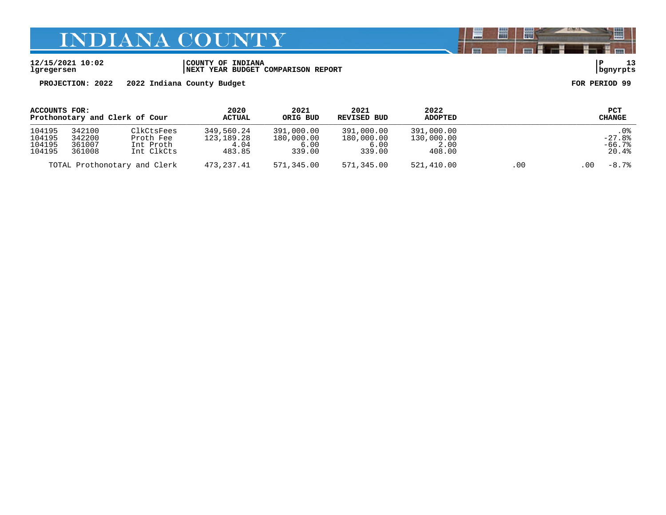| 12/15/2021 10:02 | COUNTY OF INDIANA                  |          |  |
|------------------|------------------------------------|----------|--|
| lgregersen       | NEXT YEAR BUDGET COMPARISON REPORT | banvrpts |  |

**PROJECTION: 2022 2022 Indiana County Budget FOR PERIOD 99**

| ACCOUNTS FOR:                  |                              | 2020          | 2021       | 2021        | 2022       |            | <b>PCT</b>    |                 |
|--------------------------------|------------------------------|---------------|------------|-------------|------------|------------|---------------|-----------------|
| Prothonotary and Clerk of Cour |                              | <b>ACTUAL</b> | ORIG BUD   | REVISED BUD | ADOPTED    |            | <b>CHANGE</b> |                 |
| 104195                         | 342100                       | ClkCtsFees    | 349,560.24 | 391,000.00  | 391,000.00 | 391,000.00 |               | . 0%            |
| 104195                         | 342200                       | Proth Fee     | 123,189.28 | 180,000.00  | 180,000.00 | 130,000.00 |               | $-27.8\%$       |
| 104195                         | 361007                       | Int Proth     | 4.04       | 6.00        | 6.00       | 2.00       |               | $-66.7%$        |
| 104195                         | 361008                       | Int ClkCts    | 483.85     | 339.00      | 339.00     | 408.00     |               | 20.4%           |
|                                | TOTAL Prothonotary and Clerk |               | 473,237.41 | 571,345.00  | 571,345.00 | 521,410.00 | .00           | $-8.7%$<br>. 00 |

圌

扁

圈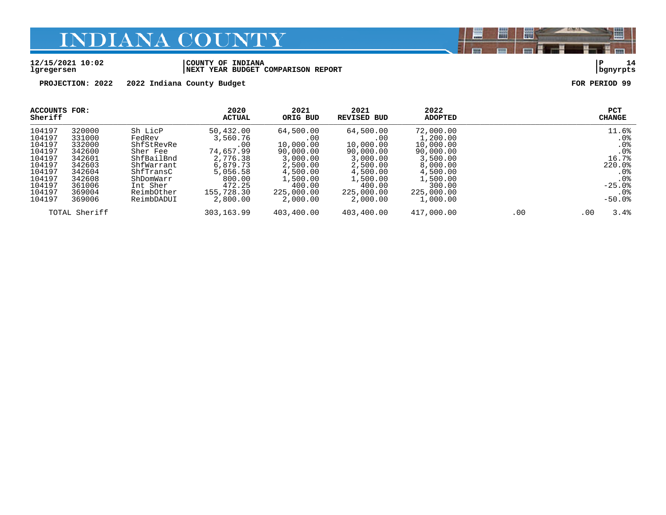#### **12/15/2021 10:02 |COUNTY OF INDIANA |P 14 lgregersen |NEXT YEAR BUDGET COMPARISON REPORT |bgnyrpts**

**PROJECTION: 2022 2022 Indiana County Budget FOR PERIOD 99**

| <b>ACCOUNTS FOR:</b><br>Sheriff                                                                            |                                                                                                            |                                                                                                                                           | 2020<br><b>ACTUAL</b>                                                                                                       | 2021<br>ORIG BUD                                                                                                               | 2021<br>REVISED BUD                                                                                                            | 2022<br><b>ADOPTED</b>                                                                                                              |     | <b>PCT</b><br><b>CHANGE</b>                                                                                                      |
|------------------------------------------------------------------------------------------------------------|------------------------------------------------------------------------------------------------------------|-------------------------------------------------------------------------------------------------------------------------------------------|-----------------------------------------------------------------------------------------------------------------------------|--------------------------------------------------------------------------------------------------------------------------------|--------------------------------------------------------------------------------------------------------------------------------|-------------------------------------------------------------------------------------------------------------------------------------|-----|----------------------------------------------------------------------------------------------------------------------------------|
| 104197<br>104197<br>104197<br>104197<br>104197<br>104197<br>104197<br>104197<br>104197<br>104197<br>104197 | 320000<br>331000<br>332000<br>342600<br>342601<br>342603<br>342604<br>342608<br>361006<br>369004<br>369006 | Sh LicP<br>FedRev<br>ShfStRevRe<br>Sher Fee<br>ShfBailBnd<br>ShfWarrant<br>ShfTransC<br>ShDomWarr<br>Int Sher<br>ReimbOther<br>ReimbDADUI | 50,432.00<br>3,560.76<br>.00<br>74,657.99<br>2,776.38<br>6,879.73<br>5,056.58<br>800.00<br>472.25<br>155,728.30<br>2,800.00 | 64,500.00<br>.00<br>10,000.00<br>90,000.00<br>3,000.00<br>2,500.00<br>4,500.00<br>1,500.00<br>400.00<br>225,000.00<br>2,000.00 | 64,500.00<br>.00<br>10,000.00<br>90,000.00<br>3,000.00<br>2,500.00<br>4,500.00<br>1,500.00<br>400.00<br>225,000.00<br>2,000.00 | 72,000.00<br>1,200.00<br>10,000.00<br>90,000.00<br>3,500.00<br>8,000.00<br>4,500.00<br>1,500.00<br>300.00<br>225,000.00<br>1,000.00 |     | 11.6%<br>. 0%<br>.0%<br>.0 <sub>8</sub><br>16.7%<br>220.0%<br>. 0%<br>.0 <sub>8</sub><br>$-25.0%$<br>.0 <sub>8</sub><br>$-50.0%$ |
|                                                                                                            | TOTAL Sheriff                                                                                              |                                                                                                                                           | 303,163.99                                                                                                                  | 403,400.00                                                                                                                     | 403,400.00                                                                                                                     | 417,000.00                                                                                                                          | .00 | 3.4%<br>.00                                                                                                                      |

闇

圌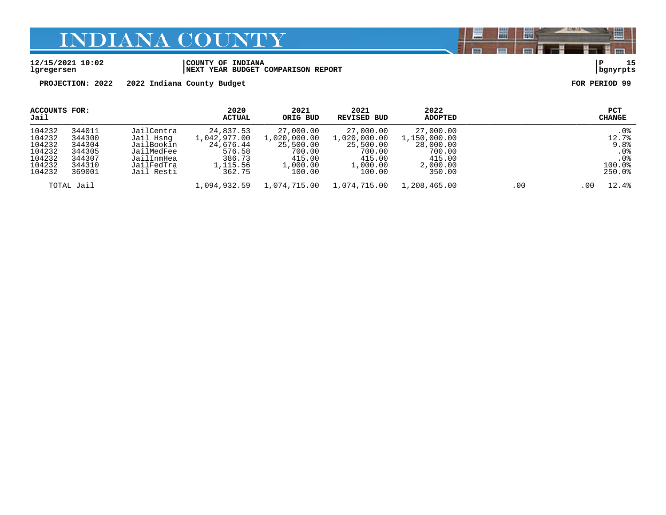#### **12/15/2021 10:02 |COUNTY OF INDIANA |P 15 lgregersen |NEXT YEAR BUDGET COMPARISON REPORT |bgnyrpts**

**PROJECTION: 2022 2022 Indiana County Budget FOR PERIOD 99**

| ACCOUNTS FOR:<br>Jail                                              |                                                                    |                                                                                               | 2020<br>ACTUAL                                                                   | 2021<br>ORIG BUD                                                                 | 2021<br>REVISED BUD                                                              | 2022<br>ADOPTED                                                                  |     |      | PCT<br>CHANGE                                                      |
|--------------------------------------------------------------------|--------------------------------------------------------------------|-----------------------------------------------------------------------------------------------|----------------------------------------------------------------------------------|----------------------------------------------------------------------------------|----------------------------------------------------------------------------------|----------------------------------------------------------------------------------|-----|------|--------------------------------------------------------------------|
| 104232<br>104232<br>104232<br>104232<br>104232<br>104232<br>104232 | 344011<br>344300<br>344304<br>344305<br>344307<br>344310<br>369001 | JailCentra<br>Jail Hsnq<br>JailBookin<br>JailMedFee<br>JailInmHea<br>JailFedTra<br>Jail Resti | 24,837.53<br>1,042,977.00<br>24,676.44<br>576.58<br>386.73<br>1,115.56<br>362.75 | 27,000.00<br>1,020,000.00<br>25,500.00<br>700.00<br>415.00<br>1,000.00<br>100.00 | 27,000.00<br>1,020,000.00<br>25,500.00<br>700.00<br>415.00<br>1,000.00<br>100.00 | 27,000.00<br>1,150,000.00<br>28,000.00<br>700.00<br>415.00<br>2,000.00<br>350.00 |     |      | .0 <sub>8</sub><br>12.7%<br>9.8%<br>.0%<br>.0%<br>100.0%<br>250.0% |
|                                                                    | TOTAL Jail                                                         |                                                                                               | 1,094,932.59                                                                     | 1,074,715.00                                                                     | 1,074,715.00                                                                     | 1,208,465.00                                                                     | .00 | . 00 | 12.4%                                                              |

闇

圌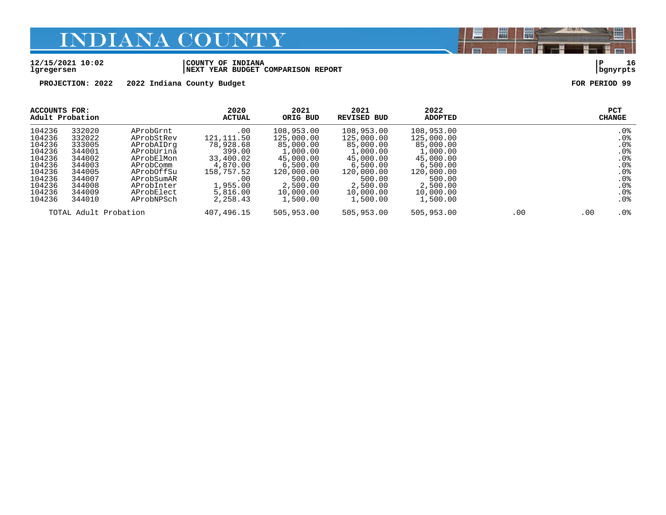#### **12/15/2021 10:02 |COUNTY OF INDIANA |P 16 lgregersen |NEXT YEAR BUDGET COMPARISON REPORT |bgnyrpts**

**PROJECTION: 2022 2022 Indiana County Budget FOR PERIOD 99**

| ACCOUNTS FOR:<br>Adult Probation |                  |                          | 2020<br><b>ACTUAL</b> | 2021<br>ORIG BUD         | 2021<br><b>REVISED BUD</b> | 2022<br><b>ADOPTED</b>   |     |     | PCT<br><b>CHANGE</b>    |
|----------------------------------|------------------|--------------------------|-----------------------|--------------------------|----------------------------|--------------------------|-----|-----|-------------------------|
| 104236<br>104236                 | 332020<br>332022 | AProbGrnt<br>AProbStRev  | .00<br>121, 111.50    | 108,953.00<br>125,000.00 | 108,953.00<br>125,000.00   | 108,953.00<br>125,000.00 |     |     | . 0%<br>.0 <sub>8</sub> |
| 104236<br>104236                 | 333005<br>344001 | AProbAIDrq<br>AProbUrina | 78,928.68<br>399.00   | 85,000.00<br>1,000.00    | 85,000.00<br>1,000.00      | 85,000.00<br>1,000.00    |     |     | .0%<br>.0%              |
| 104236<br>104236                 | 344002<br>344003 | AProbElMon<br>AProbComm  | 33,400.02<br>4,870.00 | 45,000.00<br>6,500.00    | 45,000.00<br>6.500.00      | 45,000.00<br>6,500.00    |     |     | .0%<br>.0%              |
| 104236<br>104236                 | 344005<br>344007 | AProbOffSu<br>AProbSumAR | 158,757.52<br>.00     | 120,000.00<br>500.00     | 120,000.00<br>500.00       | 120,000.00<br>500.00     |     |     | .0%<br>.0 <sub>8</sub>  |
| 104236<br>104236                 | 344008<br>344009 | AProbInter<br>AProbElect | 1,955.00<br>5,816.00  | 2,500.00<br>10,000.00    | 2,500.00<br>10,000.00      | 2,500.00<br>10,000.00    |     |     | .0%<br>.0%              |
| 104236                           | 344010           | AProbNPSch               | 2,258.43              | 1,500.00                 | 1,500.00                   | 1,500.00                 |     |     | .0 <sub>8</sub>         |
|                                  |                  | TOTAL Adult Probation    | 407,496.15            | 505,953.00               | 505,953.00                 | 505,953.00               | .00 | .00 | . 0%                    |

闇

圌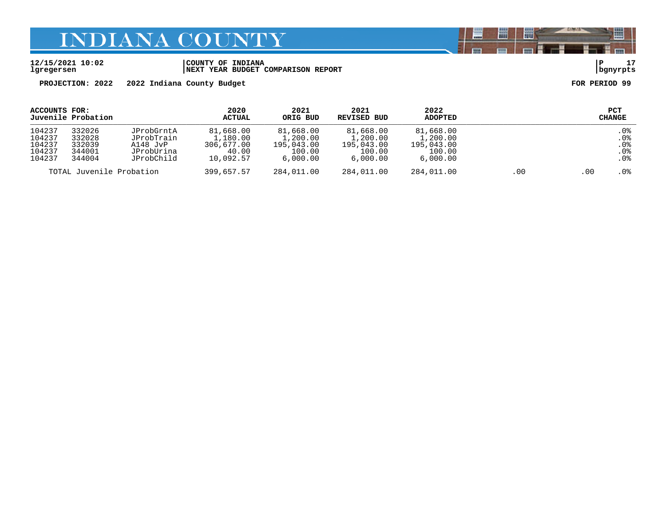#### **12/15/2021 10:02 |COUNTY OF INDIANA |P 17 lgregersen |NEXT YEAR BUDGET COMPARISON REPORT |bgnyrpts**

**PROJECTION: 2022 2022 Indiana County Budget FOR PERIOD 99**

| ACCOUNTS FOR:                                  | Juvenile Probation                             |                                                                  | 2020<br><b>ACTUAL</b>                                     | 2021<br>ORIG BUD                                          | 2021<br>REVISED BUD                                       | 2022<br><b>ADOPTED</b>                                    |     |        | <b>PCT</b><br>CHANGE                                       |
|------------------------------------------------|------------------------------------------------|------------------------------------------------------------------|-----------------------------------------------------------|-----------------------------------------------------------|-----------------------------------------------------------|-----------------------------------------------------------|-----|--------|------------------------------------------------------------|
| 104237<br>104237<br>104237<br>104237<br>104237 | 332026<br>332028<br>332039<br>344001<br>344004 | JProbGrntA<br>JProbTrain<br>A148 JvP<br>JProbUrina<br>JProbChild | 81,668.00<br>1,180.00<br>306,677.00<br>40.00<br>10,092.57 | 81,668.00<br>1,200.00<br>195,043.00<br>100.00<br>6,000.00 | 81,668.00<br>1,200.00<br>195,043.00<br>100.00<br>6,000.00 | 81,668.00<br>1,200.00<br>195,043.00<br>100.00<br>6,000.00 |     |        | .0%<br>.0 <sub>8</sub><br>$.0\%$<br>.0 <sub>8</sub><br>.0% |
| TOTAL Juvenile Probation                       |                                                | 399,657.57                                                       | 284,011.00                                                | 284,011.00                                                | 284,011.00                                                | .00                                                       | .00 | $.0\%$ |                                                            |

闇

圌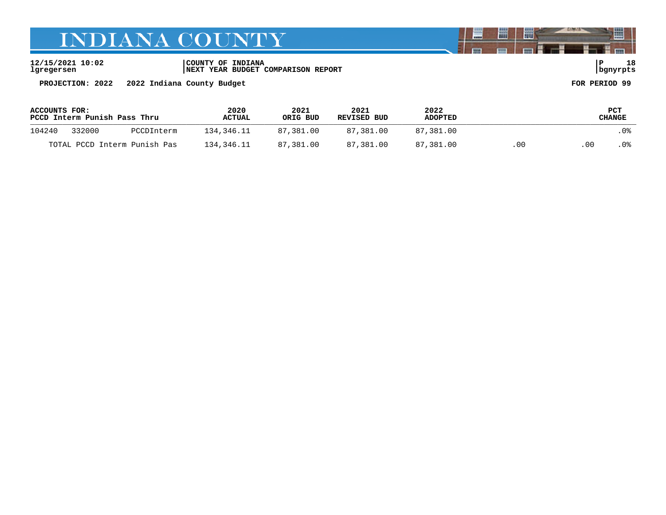**12/15/2021 10:02 |COUNTY OF INDIANA |P 18 lgregersen |NEXT YEAR BUDGET COMPARISON REPORT |bgnyrpts**

**PROJECTION: 2022 2022 Indiana County Budget FOR PERIOD 99**

| ACCOUNTS FOR:<br>PCCD Interm Punish Pass Thru |        | 2020<br>2021<br>ORIG BUD<br><b>ACTUAL</b> |            | 2021<br>REVISED BUD | 2022<br><b>ADOPTED</b> |           | PCT<br>CHANGE |     |      |
|-----------------------------------------------|--------|-------------------------------------------|------------|---------------------|------------------------|-----------|---------------|-----|------|
| 104240                                        | 332000 | PCCDInterm                                | 134,346.11 | 87,381.00           | 87,381.00              | 87,381.00 |               |     | . 0% |
|                                               |        | TOTAL PCCD Interm Punish Pas              | 134,346.11 | 87,381.00           | 87,381.00              | 87,381.00 | .00           | -00 | . 0% |

闇

圌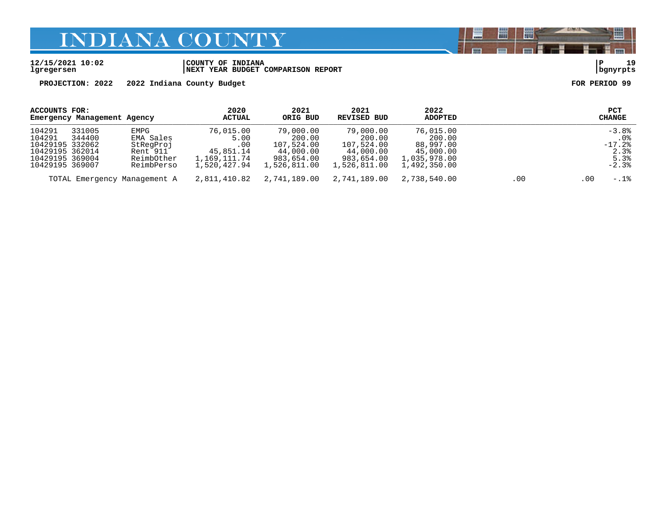#### **12/15/2021 10:02 |COUNTY OF INDIANA |P 19 lgregersen |NEXT YEAR BUDGET COMPARISON REPORT |bgnyrpts**

**PROJECTION: 2022 2022 Indiana County Budget FOR PERIOD 99**

| ACCOUNTS FOR:                      | Emergency Management Agency |                              | 2020<br>ACTUAL               | 2021<br>ORIG BUD           | 2021<br>REVISED BUD        | 2022<br><b>ADOPTED</b>       |     | <b>PCT</b><br><b>CHANGE</b> |
|------------------------------------|-----------------------------|------------------------------|------------------------------|----------------------------|----------------------------|------------------------------|-----|-----------------------------|
| 104291<br>104291                   | 331005<br>344400            | EMPG<br>EMA Sales            | 76,015.00<br>5.00            | 79,000.00<br>200.00        | 79,000.00<br>200.00        | 76,015.00<br>200.00          |     | $-3.8%$<br>. 0%             |
| 10429195 332062<br>10429195 362014 |                             | StRegProj<br>Rent 911        | .00<br>45,851.14             | 107,524.00<br>44,000.00    | 107,524.00<br>44,000.00    | 88,997.00<br>45,000.00       |     | $-17.2$ $8$<br>2.3%         |
| 10429195 369004<br>10429195 369007 |                             | ReimbOther<br>ReimbPerso     | 1,169,111.74<br>1,520,427.94 | 983,654.00<br>1,526,811.00 | 983,654.00<br>1,526,811.00 | 1,035,978.00<br>1,492,350.00 |     | 5.3%<br>$-2.3%$             |
|                                    |                             | TOTAL Emergency Management A | 2,811,410.82                 | 2,741,189.00               | 2,741,189.00               | 2,738,540.00                 | .00 | $-.1$ 8<br>.00              |

闇

圌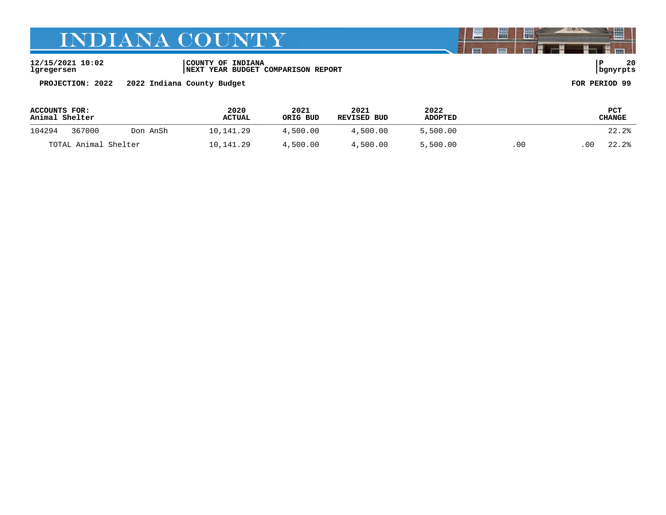**12/15/2021 10:02 |COUNTY OF INDIANA |P 20 lgregersen |NEXT YEAR BUDGET COMPARISON REPORT |bgnyrpts**

**PROJECTION: 2022 2022 Indiana County Budget FOR PERIOD 99**

| ACCOUNTS FOR:<br>Animal Shelter |                    | 2020<br><b>ACTUAL</b> | 2021<br>ORIG BUD | 2021<br>REVISED BUD | 2022<br><b>ADOPTED</b> |          | <b>PCT</b><br>CHANGE |       |       |
|---------------------------------|--------------------|-----------------------|------------------|---------------------|------------------------|----------|----------------------|-------|-------|
| 104294                          | 367000<br>Don AnSh |                       | 10,141.29        | 4,500.00            | 4,500.00               | 5,500.00 |                      |       | 22.2% |
| TOTAL Animal Shelter            |                    | 10,141.29             | 4,500.00         | 4,500.00            | 5,500.00               | .00      | 00                   | 22.2% |       |

闇

圌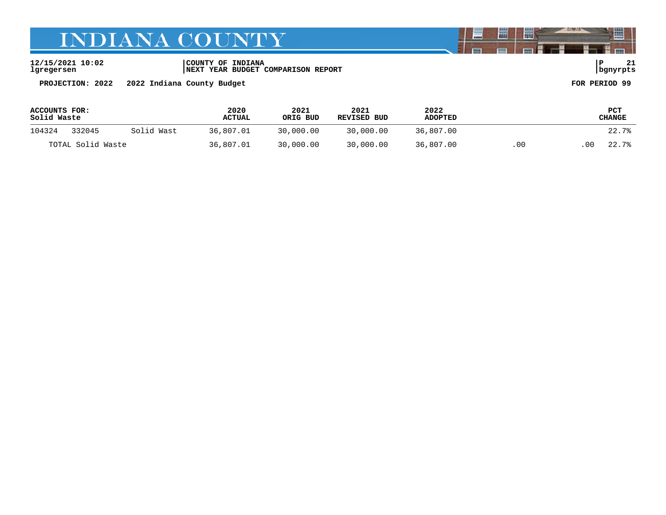**12/15/2021 10:02 |COUNTY OF INDIANA |P 21 lgregersen |NEXT YEAR BUDGET COMPARISON REPORT |bgnyrpts**

**PROJECTION: 2022 2022 Indiana County Budget FOR PERIOD 99**

| <b>ACCOUNTS FOR:</b><br>Solid Waste |                   | 2020<br><b>ACTUAL</b> | 2021<br>ORIG BUD | 2021<br>REVISED BUD | 2022<br><b>ADOPTED</b> | PCT<br>CHANGE |     |             |
|-------------------------------------|-------------------|-----------------------|------------------|---------------------|------------------------|---------------|-----|-------------|
| 104324                              | 332045            | Solid Wast            | 36,807.01        | 30,000.00           | 30,000.00              | 36,807.00     |     | 22.7%       |
|                                     | TOTAL Solid Waste |                       | 36,807.01        | 30,000.00           | 30,000.00              | 36,807.00     | .00 | 00<br>22.7% |

闇

圌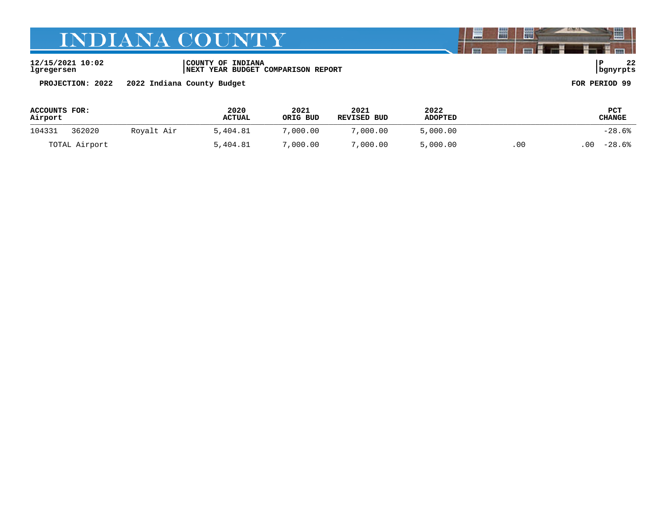**12/15/2021 10:02 |COUNTY OF INDIANA |P 22 lgregersen |NEXT YEAR BUDGET COMPARISON REPORT |bgnyrpts**

**PROJECTION: 2022 2022 Indiana County Budget FOR PERIOD 99**

| ACCOUNTS FOR:<br>Airport |               |            | 2020<br><b>ACTUAL</b> | 2021<br>ORIG BUD | 2021<br>REVISED BUD | 2022<br><b>ADOPTED</b> |      | PCT<br>CHANGE  |
|--------------------------|---------------|------------|-----------------------|------------------|---------------------|------------------------|------|----------------|
| 104331                   | 362020        | Royalt Air | 5,404.81              | 7,000.00         | 7,000.00            | 5,000.00               |      | $-28.6%$       |
|                          | TOTAL Airport |            | 5,404.81              | 7,000.00         | 7,000.00            | 5,000.00               | .00. | $-28.6%$<br>00 |

闇

圌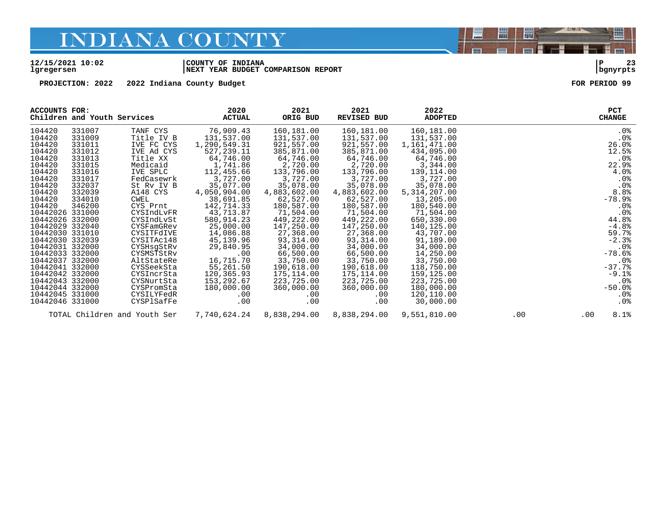#### **12/15/2021 10:02 |COUNTY OF INDIANA |P 23 lgregersen |NEXT YEAR BUDGET COMPARISON REPORT |bgnyrpts**

**PROJECTION: 2022 2022 Indiana County Budget FOR PERIOD 99**

| ACCOUNTS FOR:   | Children and Youth Services |                              | 2020<br><b>ACTUAL</b> | 2021<br>ORIG BUD | 2021<br><b>REVISED BUD</b> | 2022<br><b>ADOPTED</b> |     | <b>CHANGE</b> | PCT        |
|-----------------|-----------------------------|------------------------------|-----------------------|------------------|----------------------------|------------------------|-----|---------------|------------|
| 104420          | 331007                      | TANF CYS                     | 76,909.43             | 160,181.00       | 160,181.00                 | 160,181.00             |     |               | $.0\%$     |
| 104420          | 331009                      | Title IV B                   | 131,537.00            | 131,537.00       | 131,537.00                 | 131,537.00             |     |               | .0%        |
| 104420          | 331011                      | IVE FC CYS                   | 1,290,549.31          | 921,557.00       | 921,557.00                 | 1,161,471.00           |     |               | 26.0%      |
| 104420          | 331012                      | IVE Ad CYS                   | 527,239.11            | 385,871.00       | 385,871.00                 | 434,095.00             |     |               | 12.5%      |
| 104420          | 331013                      | Title XX                     | 64,746.00             | 64,746.00        | 64,746.00                  | 64,746.00              |     |               | $.0\%$     |
| 104420          | 331015                      | Medicaid                     | 1,741.86              | 2,720.00         | 2,720.00                   | 3,344.00               |     |               | 22.9%      |
| 104420          | 331016                      | IVE SPLC                     | 112,455.66            | 133,796.00       | 133,796.00                 | 139,114.00             |     |               | 4.0%       |
| 104420          | 331017                      | FedCasewrk                   | 3,727.00              | 3,727.00         | 3,727.00                   | 3,727.00               |     |               | $.0\%$     |
| 104420          | 332037                      | St Rv IV B                   | 35,077.00             | 35,078.00        | 35,078.00                  | 35,078.00              |     |               | .0%        |
| 104420          | 332039                      | A148 CYS                     | 4,050,904.00          | 4,883,602.00     | 4,883,602.00               | 5, 314, 207.00         |     |               | 8.8%       |
| 104420          | 334010                      | CWEL                         | 38,691.85             | 62,527.00        | 62,527.00                  | 13,205.00              |     |               | $-78.9%$   |
| 104420          | 346200                      | CYS Prnt                     | 142,714.33            | 180,587.00       | 180,587.00                 | 180,540.00             |     |               | $.0\%$     |
| 10442026 331000 |                             | CYSIndLvFR                   | 43,713.87             | 71,504.00        | 71,504.00                  | 71,504.00              |     |               | .0%        |
| 10442026 332000 |                             | CYSIndLvSt                   | 580,914.23            | 449,222.00       | 449,222.00                 | 650,330.00             |     |               | 44.8%      |
| 10442029 332040 |                             | CYSFamGRev                   | 25,000.00             | 147,250.00       | 147,250.00                 | 140,125.00             |     |               | $-4.8%$    |
| 10442030 331010 |                             | CYSITFdIVE                   | 14,086.88             | 27,368.00        | 27,368.00                  | 43,707.00              |     |               | 59.7%      |
| 10442030 332039 |                             | CYSITAc148                   | 45,139.96             | 93,314.00        | 93,314.00                  | 91,189.00              |     |               | $-2.3%$    |
| 10442031 332000 |                             | CYSHsqStRv                   | 29,840.95             | 34,000.00        | 34,000.00                  | 34,000.00              |     |               | $.0\%$     |
| 10442033 332000 |                             | CYSMSTStRv                   | .00                   | 66,500.00        | 66,500.00                  | 14,250.00              |     |               | $-78.6%$   |
| 10442037 332000 |                             | AltStateRe                   | 16,715.70             | 33,750.00        | 33,750.00                  | 33,750.00              |     |               | $.0\%$     |
| 10442041 332000 |                             | CYSSeekSta                   | 55,261.50             | 190,618.00       | 190,618.00                 | 118,750.00             |     |               | $-37.7%$   |
| 10442042 332000 |                             | CYSIncrSta                   | 120,365.93            | 175,114.00       | 175,114.00                 | 159,125.00             |     |               | $-9.1$ $8$ |
| 10442043 332000 |                             | CYSNurtSta                   | 153, 292.67           | 223,725.00       | 223,725.00                 | 223,725.00             |     |               | . 0%       |
| 10442044 332000 |                             | CYSPromSta                   | 180,000.00            | 360,000.00       | 360,000.00                 | 180,000.00             |     |               | $-50.0%$   |
| 10442045 331000 |                             | CYSILYFedR                   | .00                   | $.00 \,$         | .00                        | 120,110.00             |     |               | $.0\%$     |
| 10442046 331000 |                             | CYSPlSafFe                   | $.00 \ \rm$           | $.00 \,$         | .00                        | 30,000.00              |     |               | $.0\%$     |
|                 |                             | TOTAL Children and Youth Ser | 7,740,624.24          | 8,838,294.00     | 8,838,294.00               | 9,551,810.00           | .00 | $.00 \,$      | 8.1%       |

闇

圌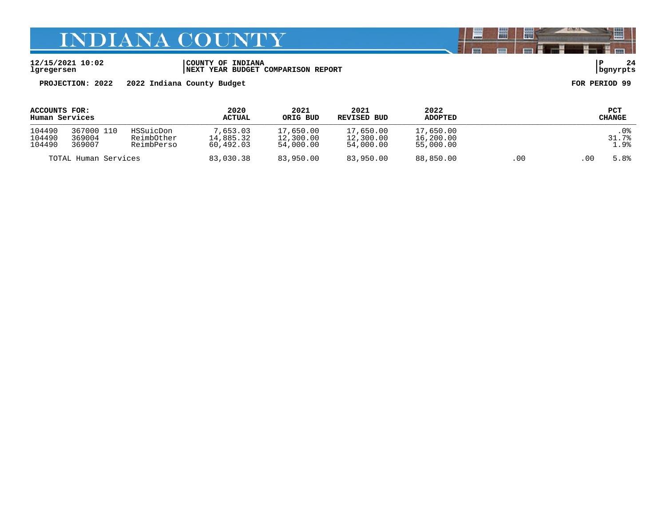**12/15/2021 10:02 |COUNTY OF INDIANA |P 24 lgregersen |NEXT YEAR BUDGET COMPARISON REPORT |bgnyrpts**

**PROJECTION: 2022 2022 Indiana County Budget FOR PERIOD 99**

| ACCOUNTS FOR:<br>Human Services |                                |                                       | 2020<br><b>ACTUAL</b>              | 2021<br>ORIG BUD                    | 2021<br>REVISED BUD                 | 2022<br><b>ADOPTED</b>              |      |      | PCT<br>CHANGE         |
|---------------------------------|--------------------------------|---------------------------------------|------------------------------------|-------------------------------------|-------------------------------------|-------------------------------------|------|------|-----------------------|
| 104490<br>104490<br>104490      | 367000 110<br>369004<br>369007 | HSSuicDon<br>ReimbOther<br>ReimbPerso | 7,653.03<br>14,885.32<br>60,492.03 | 17,650.00<br>12,300.00<br>54,000.00 | 17,650.00<br>12,300.00<br>54,000.00 | 17,650.00<br>16,200.00<br>55,000.00 |      |      | . 0%<br>31.7%<br>1.9% |
| TOTAL Human Services            |                                | 83,030.38                             | 83,950.00                          | 83,950.00                           | 88,850.00                           | .00                                 | . 00 | 5.8% |                       |

闇

圌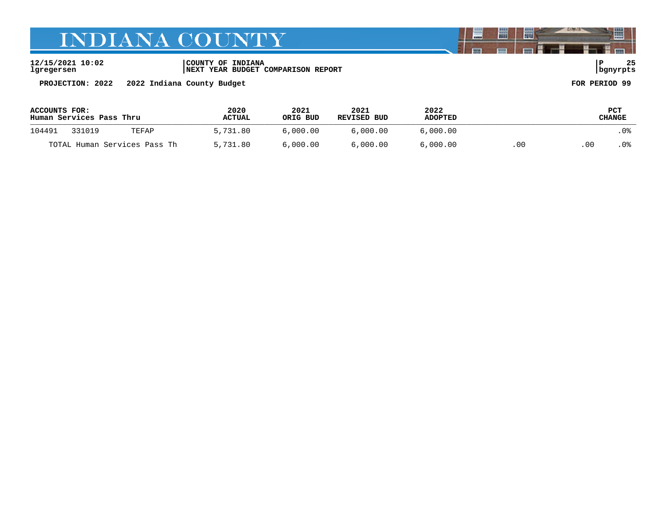**12/15/2021 10:02 |COUNTY OF INDIANA |P 25 lgregersen |NEXT YEAR BUDGET COMPARISON REPORT |bgnyrpts**

**PROJECTION: 2022 2022 Indiana County Budget FOR PERIOD 99**

| ACCOUNTS FOR:<br>Human Services Pass Thru |        |          | 2020<br><b>ACTUAL</b> | 2021<br>ORIG BUD | 2021<br>REVISED BUD | 2022<br><b>ADOPTED</b> | PCT<br>CHANGE |      |     |
|-------------------------------------------|--------|----------|-----------------------|------------------|---------------------|------------------------|---------------|------|-----|
| 104491                                    | 331019 | TEFAP    | 5,731.80              | 6.000.00         | 6.000.00            | 6,000.00               |               |      | .0% |
| TOTAL Human Services Pass Th              |        | 5,731.80 | 6.000.00              | 6.000.00         | 6,000.00            | .00                    | 00            | . 0% |     |

闇

圌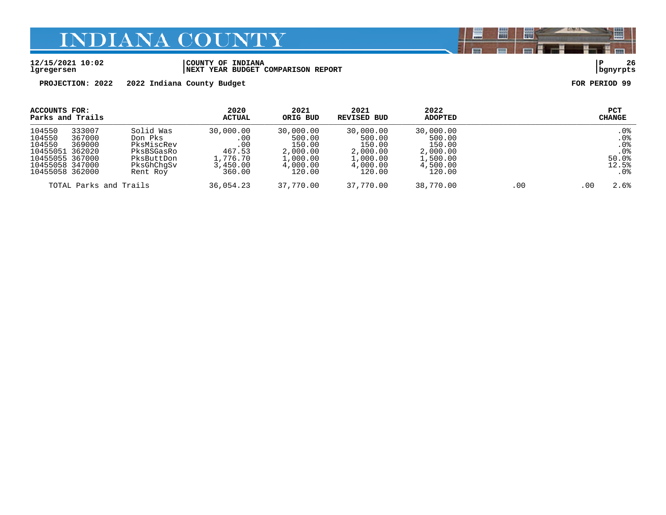#### **12/15/2021 10:02 |COUNTY OF INDIANA |P 26 lgregersen |NEXT YEAR BUDGET COMPARISON REPORT |bgnyrpts**

**PROJECTION: 2022 2022 Indiana County Budget FOR PERIOD 99**

| ACCOUNTS FOR:<br>Parks and Trails                                                                      |                            |                                                                                          | 2020<br>ACTUAL                                                      | 2021<br>ORIG BUD                                                            | 2021<br>REVISED BUD                                                         | 2022<br><b>ADOPTED</b>                                                      | PCT<br><b>CHANGE</b> |      |                                                                      |
|--------------------------------------------------------------------------------------------------------|----------------------------|------------------------------------------------------------------------------------------|---------------------------------------------------------------------|-----------------------------------------------------------------------------|-----------------------------------------------------------------------------|-----------------------------------------------------------------------------|----------------------|------|----------------------------------------------------------------------|
| 104550<br>104550<br>104550<br>10455051 362020<br>10455055 367000<br>10455058 347000<br>10455058 362000 | 333007<br>367000<br>369000 | Solid Was<br>Don Pks<br>PksMiscRev<br>PksBSGasRo<br>PksButtDon<br>PksGhChqSv<br>Rent Roy | 30,000.00<br>.00<br>.00<br>467.53<br>1,776.70<br>3,450.00<br>360.00 | 30,000.00<br>500.00<br>150.00<br>2,000.00<br>1,000.00<br>4,000.00<br>120.00 | 30,000.00<br>500.00<br>150.00<br>2,000.00<br>1,000.00<br>4,000.00<br>120.00 | 30,000.00<br>500.00<br>150.00<br>2,000.00<br>1,500.00<br>4,500.00<br>120.00 |                      |      | .0%<br>.0 <sub>8</sub><br>$.0\%$<br>$.0\%$<br>50.0%<br>12.5%<br>. 0% |
| TOTAL Parks and Trails                                                                                 |                            | 36,054.23                                                                                | 37,770.00                                                           | 37,770.00                                                                   | 38,770.00                                                                   | .00                                                                         | .00                  | 2.6% |                                                                      |

闇

圌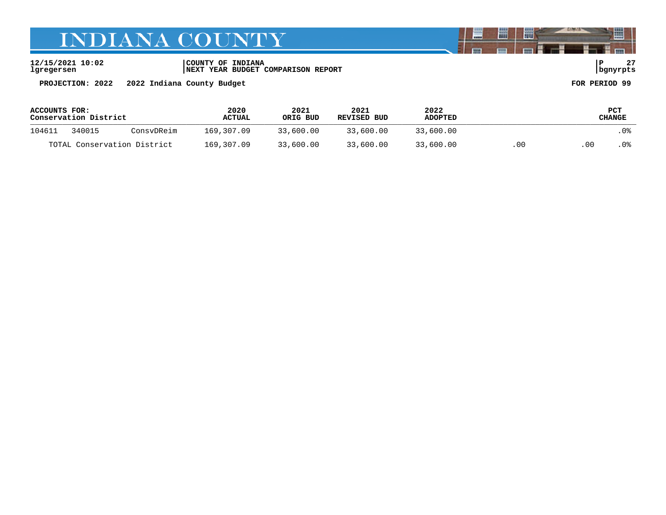**12/15/2021 10:02 |COUNTY OF INDIANA |P 27 lgregersen |NEXT YEAR BUDGET COMPARISON REPORT |bgnyrpts**

**PROJECTION: 2022 2022 Indiana County Budget FOR PERIOD 99**

| ACCOUNTS FOR:<br>Conservation District |        |            | 2020<br>2021<br>ORIG BUD<br><b>ACTUAL</b> |           | 2021<br>REVISED BUD | 2022<br>ADOPTED |       | PCT<br>CHANGE |      |  |
|----------------------------------------|--------|------------|-------------------------------------------|-----------|---------------------|-----------------|-------|---------------|------|--|
| 104611                                 | 340015 | ConsyDReim | 169,307.09                                | 33,600.00 | 33,600.00           | 33,600.00       |       |               | .0%  |  |
| TOTAL Conservation District            |        |            | 169,307.09                                | 33,600.00 | 33,600.00           | 33,600.00       | . O C | .00           | . 0% |  |

闇

圌